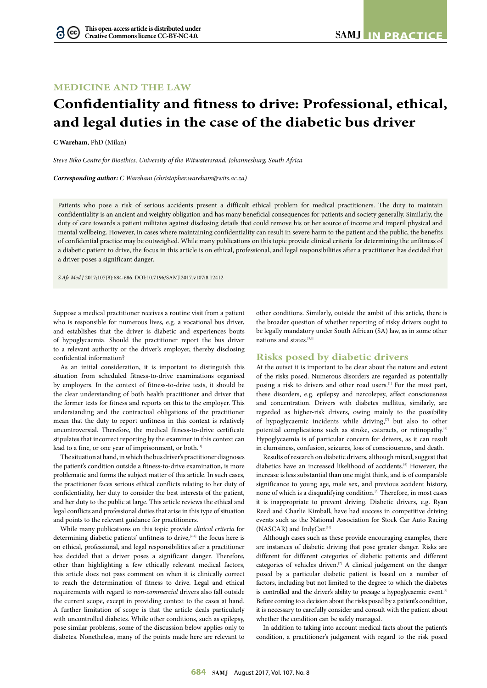# **MEDICINE AND THE LAW**

# **Confidentiality and fitness to drive: Professional, ethical, and legal duties in the case of the diabetic bus driver**

**C Wareham**, PhD (Milan)

G

*Steve Biko Centre for Bioethics, University of the Witwatersrand, Johannesburg, South Africa*

*Corresponding author: C Wareham ([christopher.wareham@wits.ac.za](mailto:christopher.wareham@wits.ac.za))*

Patients who pose a risk of serious accidents present a difficult ethical problem for medical practitioners. The duty to maintain confidentiality is an ancient and weighty obligation and has many beneficial consequences for patients and society generally. Similarly, the duty of care towards a patient militates against disclosing details that could remove his or her source of income and imperil physical and mental wellbeing. However, in cases where maintaining confidentiality can result in severe harm to the patient and the public, the benefits of confidential practice may be outweighed. While many publications on this topic provide clinical criteria for determining the unfitness of a diabetic patient to drive, the focus in this article is on ethical, professional, and legal responsibilities after a practitioner has decided that a driver poses a significant danger.

*S Afr Med J* 2017;107(8):684-686. DOI[:10.7196/SAMJ.](10.7196/SAMJ)2017.v107i8.12412

Suppose a medical practitioner receives a routine visit from a patient who is responsible for numerous lives, e.g. a vocational bus driver, and establishes that the driver is diabetic and experiences bouts of hypoglycaemia. Should the practitioner report the bus driver to a relevant authority or the driver's employer, thereby disclosing confidential information?

As an initial consideration, it is important to distinguish this situation from scheduled fitness-to-drive examinations organised by employers. In the context of fitness-to-drive tests, it should be the clear understanding of both health practitioner and driver that the former tests for fitness and reports on this to the employer. This understanding and the contractual obligations of the practitioner mean that the duty to report unfitness in this context is relatively uncontroversial. Therefore, the medical fitness-to-drive certificate stipulates that incorrect reporting by the examiner in this context can lead to a fine, or one year of imprisonment, or both.<sup>[1]</sup>

The situation at hand, in which the bus driver's practitioner diagnoses the patient's condition outside a fitness-to-drive examination, is more problematic and forms the subject matter of this article. In such cases, the practitioner faces serious ethical conflicts relating to her duty of confidentiality, her duty to consider the best interests of the patient, and her duty to the public at large. This article reviews the ethical and legal conflicts and professional duties that arise in this type of situation and points to the relevant guidance for practitioners.

While many publications on this topic provide *clinical criteria* for determining diabetic patients' unfitness to drive,<sup>[2-4]</sup> the focus here is on ethical, professional, and legal responsibilities after a practitioner has decided that a driver poses a significant danger. Therefore, other than highlighting a few ethically relevant medical factors, this article does not pass comment on when it is clinically correct to reach the determination of fitness to drive. Legal and ethical requirements with regard to *non-commercial* drivers also fall outside the current scope, except in providing context to the cases at hand. A further limitation of scope is that the article deals particularly with uncontrolled diabetes. While other conditions, such as epilepsy, pose similar problems, some of the discussion below applies only to diabetes. Nonetheless, many of the points made here are relevant to other conditions. Similarly, outside the ambit of this article, there is the broader question of whether reporting of risky drivers ought to be legally mandatory under South African (SA) law, as in some other nations and states.<sup>[5,6]</sup>

#### **Risks posed by diabetic drivers**

At the outset it is important to be clear about the nature and extent of the risks posed. Numerous disorders are regarded as potentially posing a risk to drivers and other road users.[1] For the most part, these disorders, e.g. epilepsy and narcolepsy, affect consciousness and concentration. Drivers with diabetes mellitus, similarly, are regarded as higher-risk drivers, owing mainly to the possibility of hypoglycaemic incidents while driving,<sup>[7]</sup> but also to other potential complications such as stroke, cataracts, or retinopathy.<sup>[8]</sup> Hypoglycaemia is of particular concern for drivers, as it can result in clumsiness, confusion, seizures, loss of consciousness, and death.

Results of research on diabetic drivers, although mixed, suggest that diabetics have an increased likelihood of accidents.<sup>[9]</sup> However, the increase is less substantial than one might think, and is of comparable significance to young age, male sex, and previous accident history, none of which is a disqualifying condition.[3] Therefore, in most cases it is inappropriate to prevent driving. Diabetic drivers, e.g. Ryan Reed and Charlie Kimball, have had success in competitive driving events such as the National Association for Stock Car Auto Racing (NASCAR) and IndyCar.[10]

Although cases such as these provide encouraging examples, there are instances of diabetic driving that pose greater danger. Risks are different for different categories of diabetic patients and different categories of vehicles driven.<sup>[2]</sup> A clinical judgement on the danger posed by a particular diabetic patient is based on a number of factors, including but not limited to the degree to which the diabetes is controlled and the driver's ability to presage a hypoglycaemic event.<sup>[2]</sup> Before coming to a decision about the risks posed by a patient's condition, it is necessary to carefully consider and consult with the patient about whether the condition can be safely managed.

In addition to taking into account medical facts about the patient's condition, a practitioner's judgement with regard to the risk posed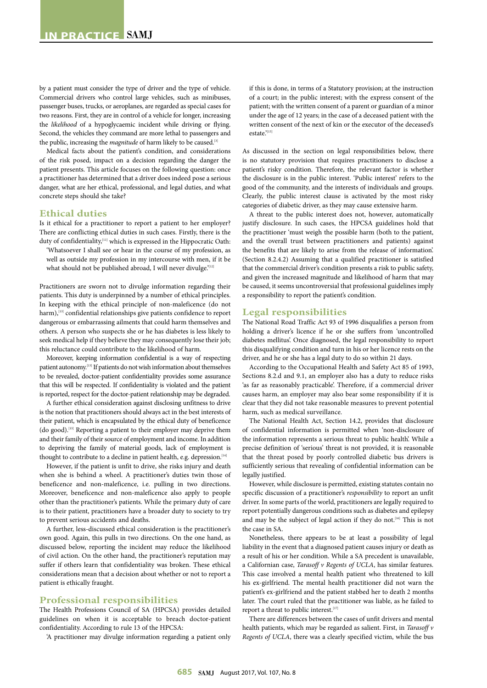by a patient must consider the type of driver and the type of vehicle. Commercial drivers who control large vehicles, such as minibuses, passenger buses, trucks, or aeroplanes, are regarded as special cases for two reasons. First, they are in control of a vehicle for longer, increasing the *likelihood* of a hypoglycaemic incident while driving or flying. Second, the vehicles they command are more lethal to passengers and the public, increasing the *magnitude* of harm likely to be caused.<sup>[3]</sup>

Medical facts about the patient's condition, and considerations of the risk posed, impact on a decision regarding the danger the patient presents. This article focuses on the following question: once a practitioner has determined that a driver does indeed pose a serious danger, what are her ethical, professional, and legal duties, and what concrete steps should she take?

# **Ethical duties**

Is it ethical for a practitioner to report a patient to her employer? There are conflicting ethical duties in such cases. Firstly, there is the duty of confidentiality,<sup>[11]</sup> which is expressed in the Hippocratic Oath: 'Whatsoever I shall see or hear in the course of my profession, as

well as outside my profession in my intercourse with men, if it be what should not be published abroad, I will never divulge.'[12]

Practitioners are sworn not to divulge information regarding their patients. This duty is underpinned by a number of ethical principles. In keeping with the ethical principle of non-maleficence (do not harm),<sup>[13]</sup> confidential relationships give patients confidence to report dangerous or embarrassing ailments that could harm themselves and others. A person who suspects she or he has diabetes is less likely to seek medical help if they believe they may consequently lose their job; this reluctance could contribute to the likelihood of harm.

Moreover, keeping information confidential is a way of respecting patient autonomy.[13] If patients do not wish information about themselves to be revealed, doctor-patient confidentiality provides some assurance that this will be respected. If confidentiality is violated and the patient is reported, respect for the doctor-patient relationship may be degraded.

A further ethical consideration against disclosing unfitness to drive is the notion that practitioners should always act in the best interests of their patient, which is encapsulated by the ethical duty of beneficence (do good).[13] Reporting a patient to their employer may deprive them and their family of their source of employment and income. In addition to depriving the family of material goods, lack of employment is thought to contribute to a decline in patient health, e.g. depression.  $^{\scriptscriptstyle [14]}$ 

However, if the patient is unfit to drive, she risks injury and death when she is behind a wheel. A practitioner's duties twin those of beneficence and non-maleficence, i.e. pulling in two directions. Moreover, beneficence and non-maleficence also apply to people other than the practitioner's patients. While the primary duty of care is to their patient, practitioners have a broader duty to society to try to prevent serious accidents and deaths.

A further, less-discussed ethical consideration is the practitioner's own good. Again, this pulls in two directions. On the one hand, as discussed below, reporting the incident may reduce the likelihood of civil action. On the other hand, the practitioner's reputation may suffer if others learn that confidentiality was broken. These ethical considerations mean that a decision about whether or not to report a patient is ethically fraught.

## **Professional responsibilities**

The Health Professions Council of SA (HPCSA) provides detailed guidelines on when it is acceptable to breach doctor-patient confidentiality. According to rule 13 of the HPCSA:

'A practitioner may divulge information regarding a patient only

if this is done, in terms of a Statutory provision; at the instruction of a court; in the public interest; with the express consent of the patient; with the written consent of a parent or guardian of a minor under the age of 12 years; in the case of a deceased patient with the written consent of the next of kin or the executor of the deceased's estate<sup>'[15]</sup>

As discussed in the section on legal responsibilities below, there is no statutory provision that requires practitioners to disclose a patient's risky condition. Therefore, the relevant factor is whether the disclosure is in the public interest. 'Public interest' refers to the good of the community, and the interests of individuals and groups. Clearly, the public interest clause is activated by the most risky categories of diabetic driver, as they may cause extensive harm.

A threat to the public interest does not, however, automatically justify disclosure. In such cases, the HPCSA guidelines hold that the practitioner 'must weigh the possible harm (both to the patient, and the overall trust between practitioners and patients) against the benefits that are likely to arise from the release of information'. (Section 8.2.4.2) Assuming that a qualified practitioner is satisfied that the commercial driver's condition presents a risk to public safety, and given the increased magnitude and likelihood of harm that may be caused, it seems uncontroversial that professional guidelines imply a responsibility to report the patient's condition.

# **Legal responsibilities**

The National Road Traffic Act 93 of 1996 disqualifies a person from holding a driver's licence if he or she suffers from 'uncontrolled diabetes mellitus'. Once diagnosed, the legal responsibility to report this disqualifying condition and turn in his or her licence rests on the driver, and he or she has a legal duty to do so within 21 days.

According to the Occupational Health and Safety Act 85 of 1993, Sections 8.2.d and 9.1, an employer also has a duty to reduce risks 'as far as reasonably practicable'. Therefore, if a commercial driver causes harm, an employer may also bear some responsibility if it is clear that they did not take reasonable measures to prevent potential harm, such as medical surveillance.

The National Health Act, Section 14.2, provides that disclosure of confidential information is permitted when 'non-disclosure of the information represents a serious threat to public health'. While a precise definition of 'serious' threat is not provided, it is reasonable that the threat posed by poorly controlled diabetic bus drivers is sufficiently serious that revealing of confidential information can be legally justified.

However, while disclosure is permitted, existing statutes contain no specific discussion of a practitioner's *responsibility* to report an unfit driver. In some parts of the world, practitioners are legally required to report potentially dangerous conditions such as diabetes and epilepsy and may be the subject of legal action if they do not.<sup>[16]</sup> This is not the case in SA.

Nonetheless, there appears to be at least a possibility of legal liability in the event that a diagnosed patient causes injury or death as a result of his or her condition. While a SA precedent is unavailable, a Californian case, *Tarasoff v Regents of UCLA*, has similar features. This case involved a mental health patient who threatened to kill his ex-girlfriend. The mental health practitioner did not warn the patient's ex-girlfriend and the patient stabbed her to death 2 months later. The court ruled that the practitioner was liable, as he failed to report a threat to public interest.<sup>[17]</sup>

There are differences between the cases of unfit drivers and mental health patients, which may be regarded as salient. First, in *Tarasoff v Regents of UCLA*, there was a clearly specified victim, while the bus